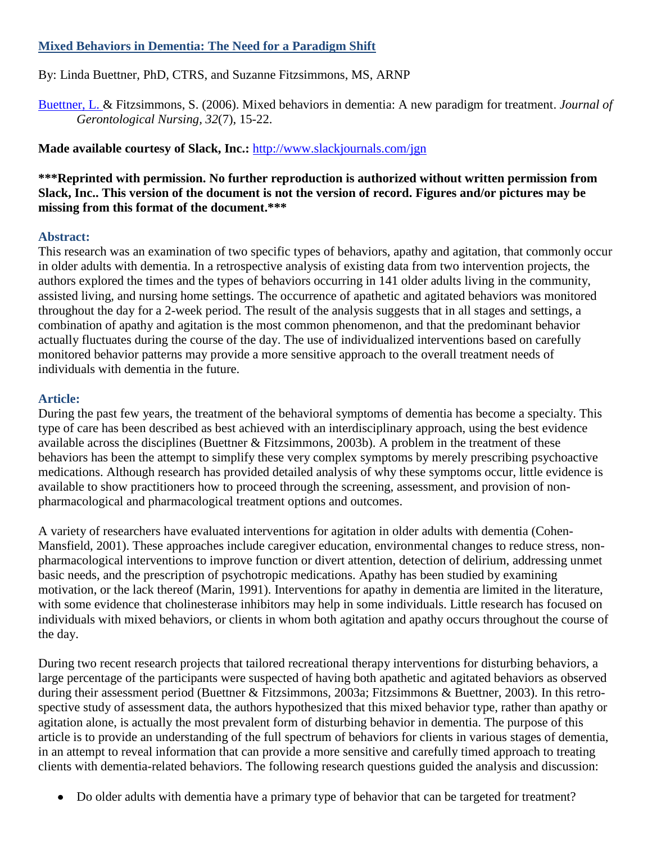# **Mixed Behaviors in Dementia: The Need for a Paradigm Shift**

By: Linda Buettner, PhD, CTRS, and Suzanne Fitzsimmons, MS, ARNP

[Buettner, L. &](http://libres.uncg.edu/ir/uncg/clist.aspx?id=1550) Fitzsimmons, S. (2006). Mixed behaviors in dementia: A new paradigm for treatment. *Journal of Gerontological Nursing, 32*(7), 15-22.

**Made available courtesy of Slack, Inc.:** <http://www.slackjournals.com/jgn>

# **\*\*\*Reprinted with permission. No further reproduction is authorized without written permission from Slack, Inc.. This version of the document is not the version of record. Figures and/or pictures may be missing from this format of the document.\*\*\***

# **Abstract:**

This research was an examination of two specific types of behaviors, apathy and agitation, that commonly occur in older adults with dementia. In a retrospective analysis of existing data from two intervention projects, the authors explored the times and the types of behaviors occurring in 141 older adults living in the community, assisted living, and nursing home settings. The occurrence of apathetic and agitated behaviors was monitored throughout the day for a 2-week period. The result of the analysis suggests that in all stages and settings, a combination of apathy and agitation is the most common phenomenon, and that the predominant behavior actually fluctuates during the course of the day. The use of individualized interventions based on carefully monitored behavior patterns may provide a more sensitive approach to the overall treatment needs of individuals with dementia in the future.

# **Article:**

During the past few years, the treatment of the behavioral symptoms of dementia has become a specialty. This type of care has been described as best achieved with an interdisciplinary approach, using the best evidence available across the disciplines (Buettner & Fitzsimmons, 2003b). A problem in the treatment of these behaviors has been the attempt to simplify these very complex symptoms by merely prescribing psychoactive medications. Although research has provided detailed analysis of why these symptoms occur, little evidence is available to show practitioners how to proceed through the screening, assessment, and provision of nonpharmacological and pharmacological treatment options and outcomes.

A variety of researchers have evaluated interventions for agitation in older adults with dementia (Cohen-Mansfield, 2001). These approaches include caregiver education, environmental changes to reduce stress, nonpharmacological interventions to improve function or divert attention, detection of delirium, addressing unmet basic needs, and the prescription of psychotropic medications. Apathy has been studied by examining motivation, or the lack thereof (Marin, 1991). Interventions for apathy in dementia are limited in the literature, with some evidence that cholinesterase inhibitors may help in some individuals. Little research has focused on individuals with mixed behaviors, or clients in whom both agitation and apathy occurs throughout the course of the day.

During two recent research projects that tailored recreational therapy interventions for disturbing behaviors, a large percentage of the participants were suspected of having both apathetic and agitated behaviors as observed during their assessment period (Buettner & Fitzsimmons, 2003a; Fitzsimmons & Buettner, 2003). In this retrospective study of assessment data, the authors hypothesized that this mixed behavior type, rather than apathy or agitation alone, is actually the most prevalent form of disturbing behavior in dementia. The purpose of this article is to provide an understanding of the full spectrum of behaviors for clients in various stages of dementia, in an attempt to reveal information that can provide a more sensitive and carefully timed approach to treating clients with dementia-related behaviors. The following research questions guided the analysis and discussion:

• Do older adults with dementia have a primary type of behavior that can be targeted for treatment?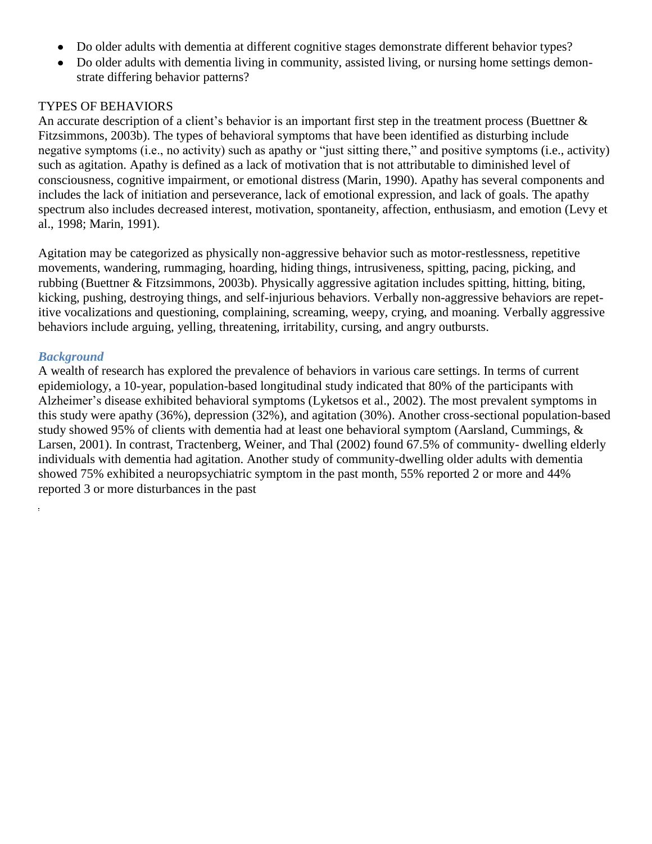- Do older adults with dementia at different cognitive stages demonstrate different behavior types?  $\bullet$
- Do older adults with dementia living in community, assisted living, or nursing home settings demonstrate differing behavior patterns?

# TYPES OF BEHAVIORS

An accurate description of a client's behavior is an important first step in the treatment process (Buettner & Fitzsimmons, 2003b). The types of behavioral symptoms that have been identified as disturbing include negative symptoms (i.e., no activity) such as apathy or "just sitting there," and positive symptoms (i.e., activity) such as agitation. Apathy is defined as a lack of motivation that is not attributable to diminished level of consciousness, cognitive impairment, or emotional distress (Marin, 1990). Apathy has several components and includes the lack of initiation and perseverance, lack of emotional expression, and lack of goals. The apathy spectrum also includes decreased interest, motivation, spontaneity, affection, enthusiasm, and emotion (Levy et al., 1998; Marin, 1991).

Agitation may be categorized as physically non-aggressive behavior such as motor-restlessness, repetitive movements, wandering, rummaging, hoarding, hiding things, intrusiveness, spitting, pacing, picking, and rubbing (Buettner & Fitzsimmons, 2003b). Physically aggressive agitation includes spitting, hitting, biting, kicking, pushing, destroying things, and self-injurious behaviors. Verbally non-aggressive behaviors are repetitive vocalizations and questioning, complaining, screaming, weepy, crying, and moaning. Verbally aggressive behaviors include arguing, yelling, threatening, irritability, cursing, and angry outbursts.

# *Background*

ý.

A wealth of research has explored the prevalence of behaviors in various care settings. In terms of current epidemiology, a 10-year, population-based longitudinal study indicated that 80% of the participants with Alzheimer's disease exhibited behavioral symptoms (Lyketsos et al., 2002). The most prevalent symptoms in this study were apathy (36%), depression (32%), and agitation (30%). Another cross-sectional population-based study showed 95% of clients with dementia had at least one behavioral symptom (Aarsland, Cummings, & Larsen, 2001). In contrast, Tractenberg, Weiner, and Thal (2002) found 67.5% of community- dwelling elderly individuals with dementia had agitation. Another study of community-dwelling older adults with dementia showed 75% exhibited a neuropsychiatric symptom in the past month, 55% reported 2 or more and 44% reported 3 or more disturbances in the past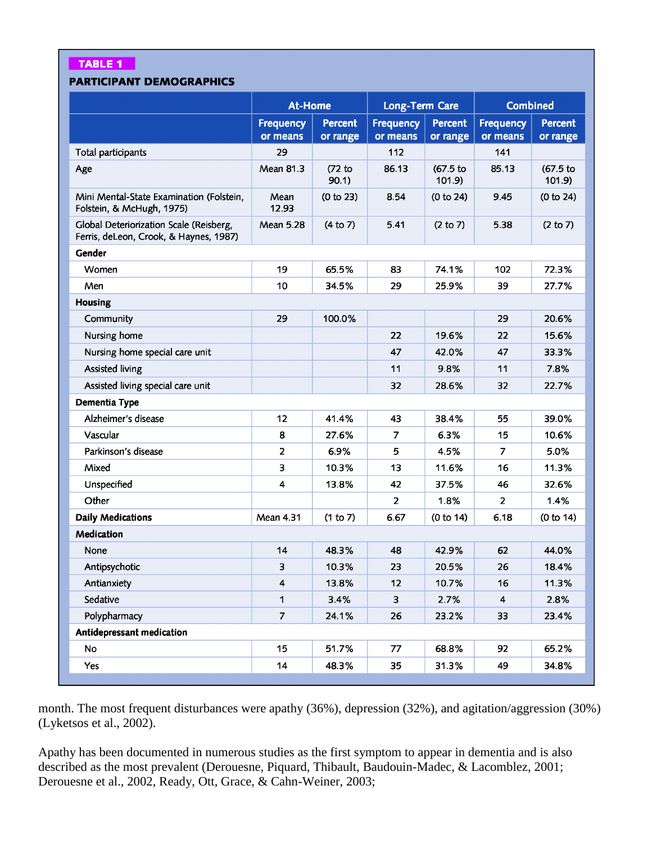## **TABLE 1**

## **PARTICIPANT DEMOGRAPHICS**

|                                                                                   | <b>At-Home</b>               |                            | <b>Long-Term Care</b>        |                            | <b>Combined</b>              |                            |  |  |
|-----------------------------------------------------------------------------------|------------------------------|----------------------------|------------------------------|----------------------------|------------------------------|----------------------------|--|--|
|                                                                                   | <b>Frequency</b><br>or means | <b>Percent</b><br>or range | <b>Frequency</b><br>or means | <b>Percent</b><br>or range | <b>Frequency</b><br>or means | <b>Percent</b><br>or range |  |  |
| Total participants                                                                | 29                           |                            | 112                          |                            | 141                          |                            |  |  |
| Age                                                                               | Mean 81.3                    | $(72)$ to<br>90.1)         | 86.13                        | (67.5 to<br>101.9          | 85.13                        | (67.5)<br>101.9            |  |  |
| Mini Mental-State Examination (Folstein,<br>Folstein, & McHugh, 1975)             | Mean<br>12.93                | (0 to 23)                  | 8.54                         | (0 to 24)                  | 9.45                         | (0 to 24)                  |  |  |
| Global Deteriorization Scale (Reisberg,<br>Ferris, deLeon, Crook, & Haynes, 1987) | Mean 5.28                    | (4 to 7)                   | 5.41                         | (2 to 7)                   | 5.38                         | (2 to 7)                   |  |  |
| Gender                                                                            |                              |                            |                              |                            |                              |                            |  |  |
| Women                                                                             | 19                           | 65.5%                      | 83                           | 74.1%                      | 102                          | 72.3%                      |  |  |
| Men                                                                               | 10                           | 34.5%                      | 29                           | 25.9%                      | 39                           | 27.7%                      |  |  |
| Housing                                                                           |                              |                            |                              |                            |                              |                            |  |  |
| Community                                                                         | 29                           | 100.0%                     |                              |                            | 29                           | 20.6%                      |  |  |
| Nursing home                                                                      |                              |                            | 22                           | 19.6%                      | 22                           | 15.6%                      |  |  |
| Nursing home special care unit                                                    |                              |                            | 47                           | 42.0%                      | 47                           | 33.3%                      |  |  |
| Assisted living                                                                   |                              |                            | 11                           | 9.8%                       | 11                           | 7.8%                       |  |  |
| Assisted living special care unit                                                 |                              |                            | 32                           | 28.6%                      | 32                           | 22.7%                      |  |  |
| Dementia Type                                                                     |                              |                            |                              |                            |                              |                            |  |  |
| Alzheimer's disease                                                               | 12                           | 41.4%                      | 43                           | 38.4%                      | 55                           | 39.0%                      |  |  |
| Vascular                                                                          | 8                            | 27.6%                      | $\overline{7}$               | 6.3%                       | 15                           | 10.6%                      |  |  |
| Parkinson's disease                                                               | $\overline{2}$               | 6.9%                       | 5                            | 4.5%                       | 7                            | 5.0%                       |  |  |
| Mixed                                                                             | 3                            | 10.3%                      | 13                           | 11.6%                      | 16                           | 11.3%                      |  |  |
| Unspecified                                                                       | $\overline{\mathbf{4}}$      | 13.8%                      | 42                           | 37.5%                      | 46                           | 32.6%                      |  |  |
| Other                                                                             |                              |                            | $\overline{2}$               | 1.8%                       | $\overline{2}$               | 1.4%                       |  |  |
| <b>Daily Medications</b>                                                          | <b>Mean 4.31</b>             | (1 to 7)                   | 6.67                         | (0 to 14)                  | 6.18                         | (0 to 14)                  |  |  |
| Medication                                                                        |                              |                            |                              |                            |                              |                            |  |  |
| None                                                                              | 14                           | 48.3%                      | 48                           | 42.9%                      | 62                           | 44.0%                      |  |  |
| Antipsychotic                                                                     | 3                            | 10.3%                      | 23                           | 20.5%                      | 26                           | 18.4%                      |  |  |
| Antianxiety                                                                       | $\overline{4}$               | 13.8%                      | 12                           | 10.7%                      | 16                           | 11.3%                      |  |  |
| Sedative                                                                          | $\mathbf{1}$                 | 3.4%                       | $\overline{\mathbf{3}}$      | 2.7%                       | $\overline{\mathbf{4}}$      | 2.8%                       |  |  |
| Polypharmacy                                                                      | $\overline{z}$               | 24.1%                      | 26                           | 23.2%                      | 33                           | 23.4%                      |  |  |
| Antidepressant medication                                                         |                              |                            |                              |                            |                              |                            |  |  |
| No                                                                                | 15                           | 51.7%                      | 77                           | 68.8%                      | 92                           | 65.2%                      |  |  |
| Yes                                                                               | 14                           | 48.3%                      | 35                           | 31.3%                      | 49                           | 34.8%                      |  |  |

month. The most frequent disturbances were apathy (36%), depression (32%), and agitation/aggression (30%) (Lyketsos et al., 2002).

Apathy has been documented in numerous studies as the first symptom to appear in dementia and is also described as the most prevalent (Derouesne, Piquard, Thibault, Baudouin-Madec, & Lacomblez, 2001; Derouesne et al., 2002, Ready, Ott, Grace, & Cahn-Weiner, 2003;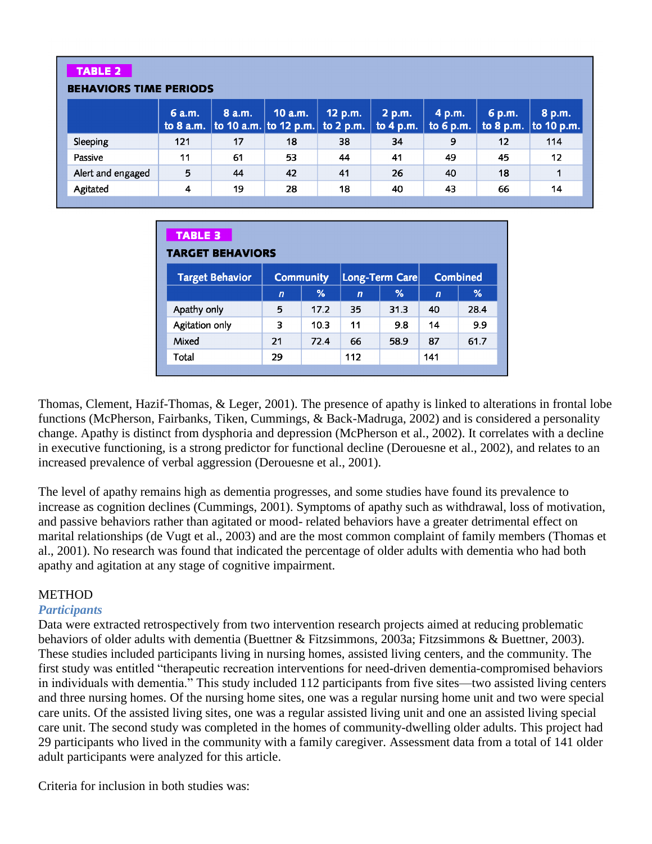#### **TABLE 2 BEHAVIORS TIME PERIODS** 6 a.m. 8 a.m. 10 a.m. 12 p.m.  $2 p.m.$ 4 p.m. 6 p.m. 8 p.m. to  $8$  a.m. to 10 a.m. to 12 p.m. to 2 p.m. to 4 p.m. to  $6 p.m.$ to 8 p.m. to 10 p.m.  $121$  $17$ 18 38 34 9  $12$ 114 Sleeping  $11$ 53 44 41 49 Passive 61 45  $12$ 5 44 42 Alert and engaged 41 26 40 18  $\mathbf{1}$ Agitated  $\overline{\mathbf{4}}$ 18 40 19 28 43 66  $14$

| <b>TABLE 3</b><br><b>TARGET BEHAVIORS</b> |                  |      |                |      |                 |      |  |  |
|-------------------------------------------|------------------|------|----------------|------|-----------------|------|--|--|
| <b>Target Behavior</b>                    | <b>Community</b> |      | Long-Term Care |      | <b>Combined</b> |      |  |  |
|                                           | $\overline{ }$   | %    | $\overline{ }$ | %    | $\overline{ }$  | ℅    |  |  |
| Apathy only                               | 5                | 17.2 | 35             | 31.3 | 40              | 28.4 |  |  |
| Agitation only                            | 3                | 10.3 | 11             | 9.8  | 14              | 9.9  |  |  |
| Mixed                                     | 21               | 72.4 | 66             | 58.9 | 87              | 61.7 |  |  |
| Total                                     | 29               |      | 112            |      | 141             |      |  |  |
|                                           |                  |      |                |      |                 |      |  |  |

Thomas, Clement, Hazif-Thomas, & Leger, 2001). The presence of apathy is linked to alterations in frontal lobe functions (McPherson, Fairbanks, Tiken, Cummings, & Back-Madruga, 2002) and is considered a personality change. Apathy is distinct from dysphoria and depression (McPherson et al., 2002). It correlates with a decline in executive functioning, is a strong predictor for functional decline (Derouesne et al., 2002), and relates to an increased prevalence of verbal aggression (Derouesne et al., 2001).

The level of apathy remains high as dementia progresses, and some studies have found its prevalence to increase as cognition declines (Cummings, 2001). Symptoms of apathy such as withdrawal, loss of motivation, and passive behaviors rather than agitated or mood- related behaviors have a greater detrimental effect on marital relationships (de Vugt et al., 2003) and are the most common complaint of family members (Thomas et al., 2001). No research was found that indicated the percentage of older adults with dementia who had both apathy and agitation at any stage of cognitive impairment.

# **METHOD**

# *Participants*

Data were extracted retrospectively from two intervention research projects aimed at reducing problematic behaviors of older adults with dementia (Buettner & Fitzsimmons, 2003a; Fitzsimmons & Buettner, 2003). These studies included participants living in nursing homes, assisted living centers, and the community. The first study was entitled "therapeutic recreation interventions for need-driven dementia-compromised behaviors in individuals with dementia." This study included 112 participants from five sites—two assisted living centers and three nursing homes. Of the nursing home sites, one was a regular nursing home unit and two were special care units. Of the assisted living sites, one was a regular assisted living unit and one an assisted living special care unit. The second study was completed in the homes of community-dwelling older adults. This project had 29 participants who lived in the community with a family caregiver. Assessment data from a total of 141 older adult participants were analyzed for this article.

Criteria for inclusion in both studies was: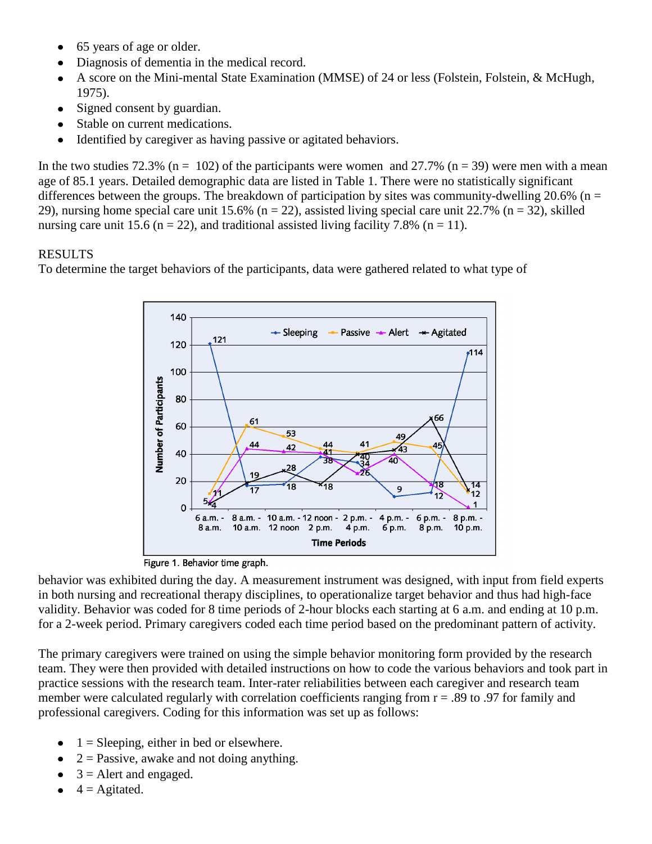- 65 years of age or older.
- Diagnosis of dementia in the medical record.
- A score on the Mini-mental State Examination (MMSE) of 24 or less (Folstein, Folstein, & McHugh, 1975).
- Signed consent by guardian.  $\bullet$
- Stable on current medications.
- Identified by caregiver as having passive or agitated behaviors.  $\bullet$

In the two studies 72.3% ( $n = 102$ ) of the participants were women and 27.7% ( $n = 39$ ) were men with a mean age of 85.1 years. Detailed demographic data are listed in Table 1. There were no statistically significant differences between the groups. The breakdown of participation by sites was community-dwelling 20.6% ( $n =$ 29), nursing home special care unit 15.6% ( $n = 22$ ), assisted living special care unit 22.7% ( $n = 32$ ), skilled nursing care unit 15.6 ( $n = 22$ ), and traditional assisted living facility 7.8% ( $n = 11$ ).

# RESULTS

To determine the target behaviors of the participants, data were gathered related to what type of



Figure 1. Behavior time graph.

behavior was exhibited during the day. A measurement instrument was designed, with input from field experts in both nursing and recreational therapy disciplines, to operationalize target behavior and thus had high-face validity. Behavior was coded for 8 time periods of 2-hour blocks each starting at 6 a.m. and ending at 10 p.m. for a 2-week period. Primary caregivers coded each time period based on the predominant pattern of activity.

The primary caregivers were trained on using the simple behavior monitoring form provided by the research team. They were then provided with detailed instructions on how to code the various behaviors and took part in practice sessions with the research team. Inter-rater reliabilities between each caregiver and research team member were calculated regularly with correlation coefficients ranging from  $r = .89$  to .97 for family and professional caregivers. Coding for this information was set up as follows:

- $\bullet$  $1 =$  Sleeping, either in bed or elsewhere.
- $2 =$  Passive, awake and not doing anything.  $\bullet$
- $3$  = Alert and engaged.
- $4 =$ Agitated.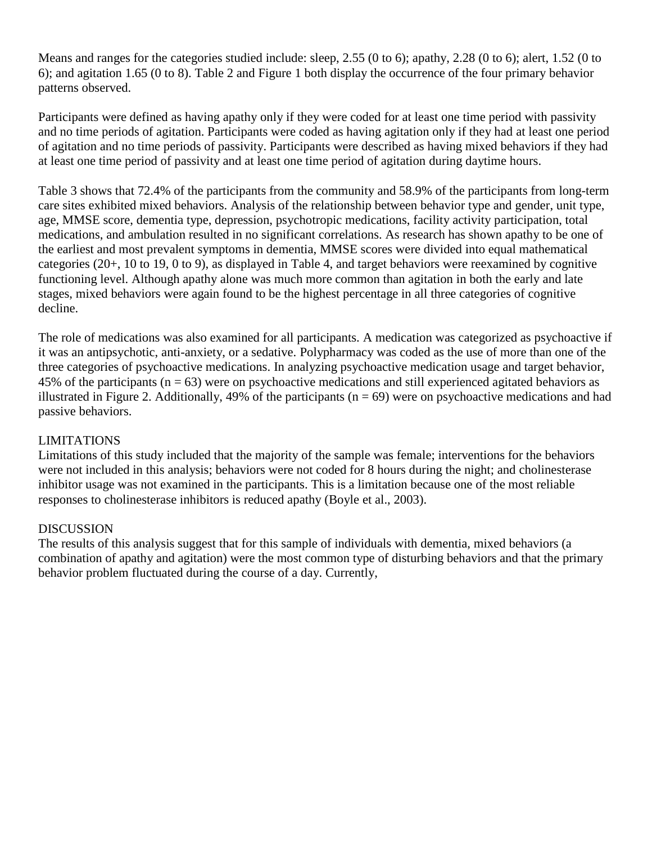Means and ranges for the categories studied include: sleep, 2.55 (0 to 6); apathy, 2.28 (0 to 6); alert, 1.52 (0 to 6); and agitation 1.65 (0 to 8). Table 2 and Figure 1 both display the occurrence of the four primary behavior patterns observed.

Participants were defined as having apathy only if they were coded for at least one time period with passivity and no time periods of agitation. Participants were coded as having agitation only if they had at least one period of agitation and no time periods of passivity. Participants were described as having mixed behaviors if they had at least one time period of passivity and at least one time period of agitation during daytime hours.

Table 3 shows that 72.4% of the participants from the community and 58.9% of the participants from long-term care sites exhibited mixed behaviors. Analysis of the relationship between behavior type and gender, unit type, age, MMSE score, dementia type, depression, psychotropic medications, facility activity participation, total medications, and ambulation resulted in no significant correlations. As research has shown apathy to be one of the earliest and most prevalent symptoms in dementia, MMSE scores were divided into equal mathematical categories (20+, 10 to 19, 0 to 9), as displayed in Table 4, and target behaviors were reexamined by cognitive functioning level. Although apathy alone was much more common than agitation in both the early and late stages, mixed behaviors were again found to be the highest percentage in all three categories of cognitive decline.

The role of medications was also examined for all participants. A medication was categorized as psychoactive if it was an antipsychotic, anti-anxiety, or a sedative. Polypharmacy was coded as the use of more than one of the three categories of psychoactive medications. In analyzing psychoactive medication usage and target behavior, 45% of the participants ( $n = 63$ ) were on psychoactive medications and still experienced agitated behaviors as illustrated in Figure 2. Additionally, 49% of the participants ( $n = 69$ ) were on psychoactive medications and had passive behaviors.

# LIMITATIONS

Limitations of this study included that the majority of the sample was female; interventions for the behaviors were not included in this analysis; behaviors were not coded for 8 hours during the night; and cholinesterase inhibitor usage was not examined in the participants. This is a limitation because one of the most reliable responses to cholinesterase inhibitors is reduced apathy (Boyle et al., 2003).

## DISCUSSION

The results of this analysis suggest that for this sample of individuals with dementia, mixed behaviors (a combination of apathy and agitation) were the most common type of disturbing behaviors and that the primary behavior problem fluctuated during the course of a day. Currently,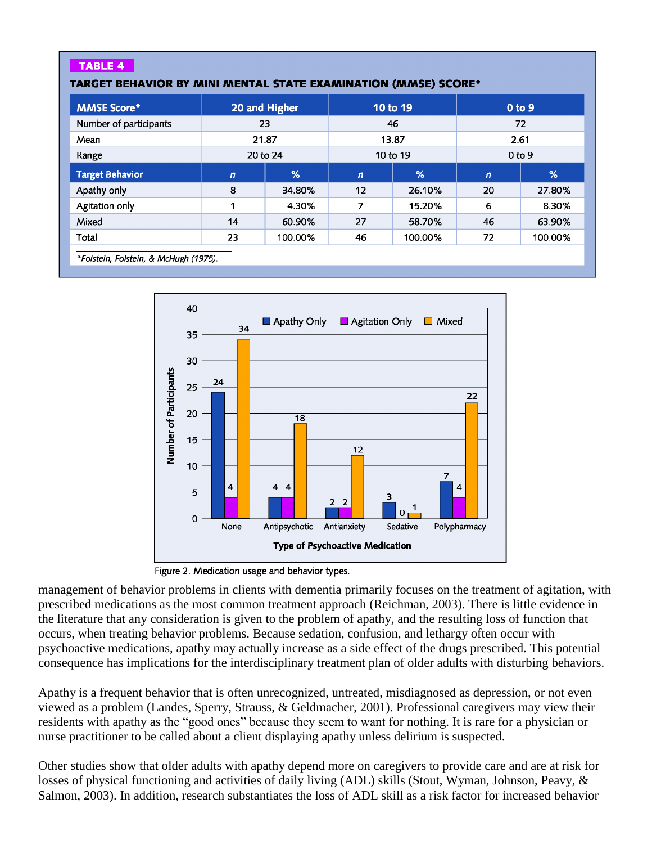# **TABLE 4**

#### TARGET BEHAVIOR BY MINI MENTAL STATE EXAMINATION (MMSE) SCORE\*

| 20 and Higher  |               | 10 to 19       |               | 0 <sub>to</sub> 9 |         |
|----------------|---------------|----------------|---------------|-------------------|---------|
| 23             |               | 46             |               | 72                |         |
| 21.87          |               | 13.87          |               | 2.61              |         |
| 20 to 24       |               | 10 to 19       |               | 0 <sub>to</sub> 9 |         |
| $\overline{ }$ | $\frac{9}{6}$ | $\overline{ }$ | $\frac{9}{6}$ | $\boldsymbol{n}$  | %       |
| 8              | 34.80%        | 12             | 26.10%        | 20                | 27.80%  |
| 1              | 4.30%         | 7              | 15.20%        | 6                 | 8.30%   |
| 14             | 60.90%        | 27             | 58.70%        | 46                | 63.90%  |
| 23             | 100.00%       | 46             | 100.00%       | 72                | 100.00% |
|                |               |                |               |                   |         |

\*Folstein, Folstein, & McHugh (1975).



Figure 2. Medication usage and behavior types.

management of behavior problems in clients with dementia primarily focuses on the treatment of agitation, with prescribed medications as the most common treatment approach (Reichman, 2003). There is little evidence in the literature that any consideration is given to the problem of apathy, and the resulting loss of function that occurs, when treating behavior problems. Because sedation, confusion, and lethargy often occur with psychoactive medications, apathy may actually increase as a side effect of the drugs prescribed. This potential consequence has implications for the interdisciplinary treatment plan of older adults with disturbing behaviors.

Apathy is a frequent behavior that is often unrecognized, untreated, misdiagnosed as depression, or not even viewed as a problem (Landes, Sperry, Strauss, & Geldmacher, 2001). Professional caregivers may view their residents with apathy as the "good ones" because they seem to want for nothing. It is rare for a physician or nurse practitioner to be called about a client displaying apathy unless delirium is suspected.

Other studies show that older adults with apathy depend more on caregivers to provide care and are at risk for losses of physical functioning and activities of daily living (ADL) skills (Stout, Wyman, Johnson, Peavy, & Salmon, 2003). In addition, research substantiates the loss of ADL skill as a risk factor for increased behavior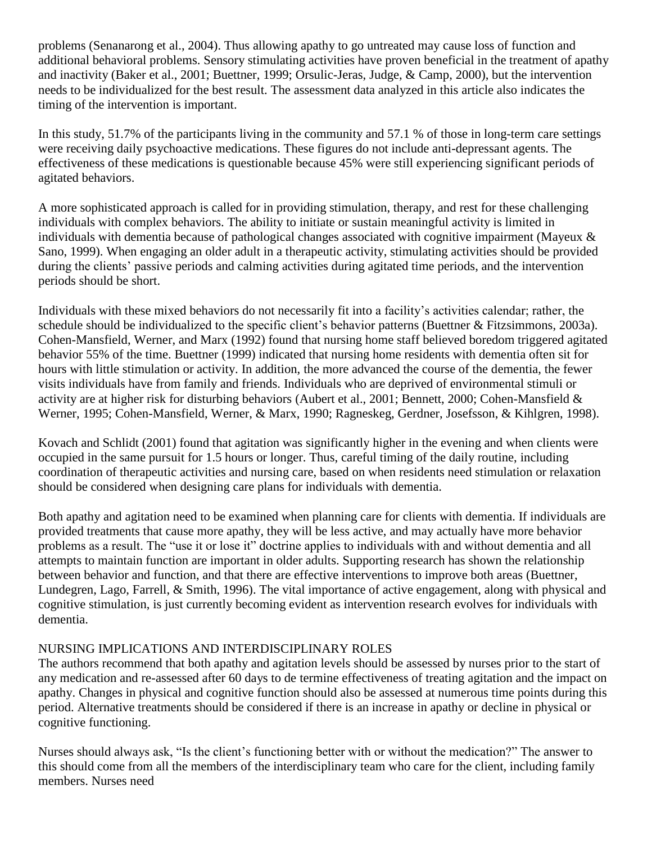problems (Senanarong et al., 2004). Thus allowing apathy to go untreated may cause loss of function and additional behavioral problems. Sensory stimulating activities have proven beneficial in the treatment of apathy and inactivity (Baker et al., 2001; Buettner, 1999; Orsulic-Jeras, Judge, & Camp, 2000), but the intervention needs to be individualized for the best result. The assessment data analyzed in this article also indicates the timing of the intervention is important.

In this study, 51.7% of the participants living in the community and 57.1 % of those in long-term care settings were receiving daily psychoactive medications. These figures do not include anti-depressant agents. The effectiveness of these medications is questionable because 45% were still experiencing significant periods of agitated behaviors.

A more sophisticated approach is called for in providing stimulation, therapy, and rest for these challenging individuals with complex behaviors. The ability to initiate or sustain meaningful activity is limited in individuals with dementia because of pathological changes associated with cognitive impairment (Mayeux & Sano, 1999). When engaging an older adult in a therapeutic activity, stimulating activities should be provided during the clients' passive periods and calming activities during agitated time periods, and the intervention periods should be short.

Individuals with these mixed behaviors do not necessarily fit into a facility's activities calendar; rather, the schedule should be individualized to the specific client's behavior patterns (Buettner & Fitzsimmons, 2003a). Cohen-Mansfield, Werner, and Marx (1992) found that nursing home staff believed boredom triggered agitated behavior 55% of the time. Buettner (1999) indicated that nursing home residents with dementia often sit for hours with little stimulation or activity. In addition, the more advanced the course of the dementia, the fewer visits individuals have from family and friends. Individuals who are deprived of environmental stimuli or activity are at higher risk for disturbing behaviors (Aubert et al., 2001; Bennett, 2000; Cohen-Mansfield & Werner, 1995; Cohen-Mansfield, Werner, & Marx, 1990; Ragneskeg, Gerdner, Josefsson, & Kihlgren, 1998).

Kovach and Schlidt (2001) found that agitation was significantly higher in the evening and when clients were occupied in the same pursuit for 1.5 hours or longer. Thus, careful timing of the daily routine, including coordination of therapeutic activities and nursing care, based on when residents need stimulation or relaxation should be considered when designing care plans for individuals with dementia.

Both apathy and agitation need to be examined when planning care for clients with dementia. If individuals are provided treatments that cause more apathy, they will be less active, and may actually have more behavior problems as a result. The "use it or lose it" doctrine applies to individuals with and without dementia and all attempts to maintain function are important in older adults. Supporting research has shown the relationship between behavior and function, and that there are effective interventions to improve both areas (Buettner, Lundegren, Lago, Farrell, & Smith, 1996). The vital importance of active engagement, along with physical and cognitive stimulation, is just currently becoming evident as intervention research evolves for individuals with dementia.

# NURSING IMPLICATIONS AND INTERDISCIPLINARY ROLES

The authors recommend that both apathy and agitation levels should be assessed by nurses prior to the start of any medication and re-assessed after 60 days to de termine effectiveness of treating agitation and the impact on apathy. Changes in physical and cognitive function should also be assessed at numerous time points during this period. Alternative treatments should be considered if there is an increase in apathy or decline in physical or cognitive functioning.

Nurses should always ask, "Is the client's functioning better with or without the medication?" The answer to this should come from all the members of the interdisciplinary team who care for the client, including family members. Nurses need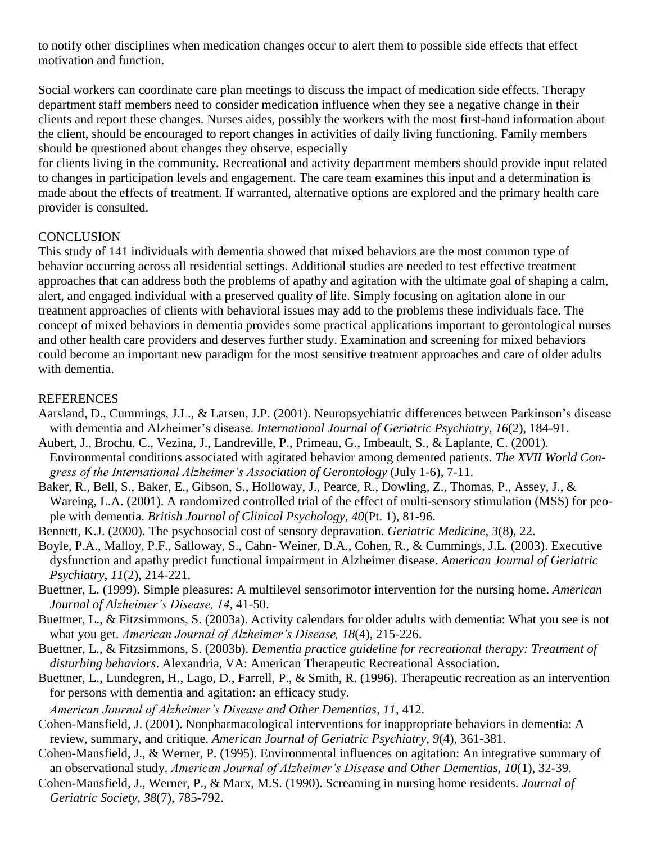to notify other disciplines when medication changes occur to alert them to possible side effects that effect motivation and function.

Social workers can coordinate care plan meetings to discuss the impact of medication side effects. Therapy department staff members need to consider medication influence when they see a negative change in their clients and report these changes. Nurses aides, possibly the workers with the most first-hand information about the client, should be encouraged to report changes in activities of daily living functioning. Family members should be questioned about changes they observe, especially

for clients living in the community. Recreational and activity department members should provide input related to changes in participation levels and engagement. The care team examines this input and a determination is made about the effects of treatment. If warranted, alternative options are explored and the primary health care provider is consulted.

# **CONCLUSION**

This study of 141 individuals with dementia showed that mixed behaviors are the most common type of behavior occurring across all residential settings. Additional studies are needed to test effective treatment approaches that can address both the problems of apathy and agitation with the ultimate goal of shaping a calm, alert, and engaged individual with a preserved quality of life. Simply focusing on agitation alone in our treatment approaches of clients with behavioral issues may add to the problems these individuals face. The concept of mixed behaviors in dementia provides some practical applications important to gerontological nurses and other health care providers and deserves further study. Examination and screening for mixed behaviors could become an important new paradigm for the most sensitive treatment approaches and care of older adults with dementia.

# **REFERENCES**

- Aarsland, D., Cummings, J.L., & Larsen, J.P. (2001). Neuropsychiatric differences between Parkinson's disease with dementia and Alzheimer's disease. *International Journal of Geriatric Psychiatry, 16*(2), 184-91.
- Aubert, J., Brochu, C., Vezina, J., Landreville, P., Primeau, G., Imbeault, S., & Laplante, C. (2001). Environmental conditions associated with agitated behavior among demented patients. *The XVII World Congress of the International Alzheimer's Association of Gerontology* (July 1-6), 7-11.
- Baker, R., Bell, S., Baker, E., Gibson, S., Holloway, J., Pearce, R., Dowling, Z., Thomas, P., Assey, J., & Wareing, L.A. (2001). A randomized controlled trial of the effect of multi-sensory stimulation (MSS) for people with dementia. *British Journal of Clinical Psychology, 40*(Pt. 1), 81-96.
- Bennett, K.J. (2000). The psychosocial cost of sensory depravation. *Geriatric Medicine, 3*(8), 22.
- Boyle, P.A., Malloy, P.F., Salloway, S., Cahn- Weiner, D.A., Cohen, R., & Cummings, J.L. (2003). Executive dysfunction and apathy predict functional impairment in Alzheimer disease. *American Journal of Geriatric Psychiatry, 11*(2), 214-221.
- Buettner, L. (1999). Simple pleasures: A multilevel sensorimotor intervention for the nursing home. *American Journal of Alzheimer's Disease, 14*, 41-50.
- Buettner, L., & Fitzsimmons, S. (2003a). Activity calendars for older adults with dementia: What you see is not what you get. *American Journal of Alzheimer's Disease, 18*(4), 215-226.
- Buettner, L., & Fitzsimmons, S. (2003b). *Dementia practice guideline for recreational therapy: Treatment of disturbing behaviors*. Alexandria, VA: American Therapeutic Recreational Association.
- Buettner, L., Lundegren, H., Lago, D., Farrell, P., & Smith, R. (1996). Therapeutic recreation as an intervention for persons with dementia and agitation: an efficacy study.
- *American Journal of Alzheimer's Disease and Other Dementias, 11*, 412.
- Cohen-Mansfield, J. (2001). Nonpharmacological interventions for inappropriate behaviors in dementia: A review, summary, and critique. *American Journal of Geriatric Psychiatry, 9*(4), 361-381.
- Cohen-Mansfield, J., & Werner, P. (1995). Environmental influences on agitation: An integrative summary of an observational study. *American Journal of Alzheimer's Disease and Other Dementias, 10*(1), 32-39.
- Cohen-Mansfield, J., Werner, P., & Marx, M.S. (1990). Screaming in nursing home residents. *Journal of Geriatric Society, 38*(7), 785-792.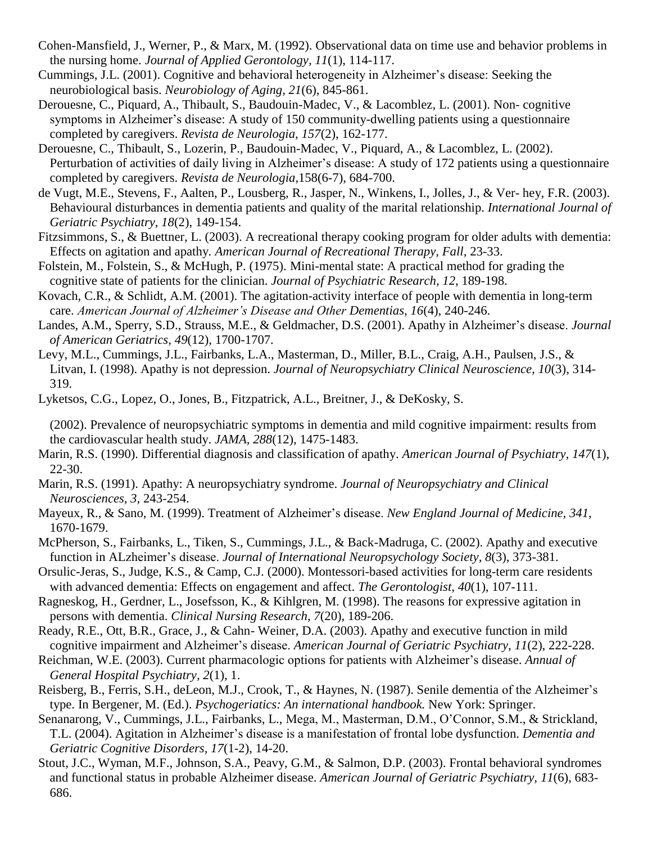- Cohen-Mansfield, J., Werner, P., & Marx, M. (1992). Observational data on time use and behavior problems in the nursing home. *Journal of Applied Gerontology, 11*(1), 114-117.
- Cummings, J.L. (2001). Cognitive and behavioral heterogeneity in Alzheimer's disease: Seeking the neurobiological basis. *Neurobiology of Aging, 21*(6), 845-861.
- Derouesne, C., Piquard, A., Thibault, S., Baudouin-Madec, V., & Lacomblez, L. (2001). Non- cognitive symptoms in Alzheimer's disease: A study of 150 community-dwelling patients using a questionnaire completed by caregivers. *Revista de Neurologia, 157*(2), 162-177.
- Derouesne, C., Thibault, S., Lozerin, P., Baudouin-Madec, V., Piquard, A., & Lacomblez, L. (2002). Perturbation of activities of daily living in Alzheimer's disease: A study of 172 patients using a questionnaire completed by caregivers. *Revista de Neurologia*,158(6-7), 684-700.
- de Vugt, M.E., Stevens, F., Aalten, P., Lousberg, R., Jasper, N., Winkens, I., Jolles, J., & Ver- hey, F.R. (2003). Behavioural disturbances in dementia patients and quality of the marital relationship. *International Journal of Geriatric Psychiatry, 18*(2), 149-154.
- Fitzsimmons, S., & Buettner, L. (2003). A recreational therapy cooking program for older adults with dementia: Effects on agitation and apathy*. American Journal of Recreational Therapy, Fall*, 23-33.
- Folstein, M., Folstein, S., & McHugh, P. (1975). Mini-mental state: A practical method for grading the cognitive state of patients for the clinician. *Journal of Psychiatric Research, 12*, 189-198.
- Kovach, C.R., & Schlidt, A.M. (2001). The agitation-activity interface of people with dementia in long-term care. *American Journal of Alzheimer's Disease and Other Dementias, 16*(4), 240-246.
- Landes, A.M., Sperry, S.D., Strauss, M.E., & Geldmacher, D.S. (2001). Apathy in Alzheimer's disease. *Journal of American Geriatrics, 49*(12), 1700-1707.
- Levy, M.L., Cummings, J.L., Fairbanks, L.A., Masterman, D., Miller, B.L., Craig, A.H., Paulsen, J.S., & Litvan, I. (1998). Apathy is not depression. *Journal of Neuropsychiatry Clinical Neuroscience, 10*(3), 314- 319.
- Lyketsos, C.G., Lopez, O., Jones, B., Fitzpatrick, A.L., Breitner, J., & DeKosky, S.

(2002). Prevalence of neuropsychiatric symptoms in dementia and mild cognitive impairment: results from the cardiovascular health study. *JAMA, 288*(12), 1475-1483.

- Marin, R.S. (1990). Differential diagnosis and classification of apathy. *American Journal of Psychiatry, 147*(1), 22-30.
- Marin, R.S. (1991). Apathy: A neuropsychiatry syndrome. *Journal of Neuropsychiatry and Clinical Neurosciences, 3*, 243-254.
- Mayeux, R., & Sano, M. (1999). Treatment of Alzheimer's disease. *New England Journal of Medicine, 341*, 1670-1679.
- McPherson, S., Fairbanks, L., Tiken, S., Cummings, J.L., & Back-Madruga, C. (2002). Apathy and executive function in ALzheimer's disease. *Journal of International Neuropsychology Society, 8*(3), 373-381.
- Orsulic-Jeras, S., Judge, K.S., & Camp, C.J. (2000). Montessori-based activities for long-term care residents with advanced dementia: Effects on engagement and affect. *The Gerontologist, 40*(1), 107-111.
- Ragneskog, H., Gerdner, L., Josefsson, K., & Kihlgren, M. (1998). The reasons for expressive agitation in persons with dementia. *Clinical Nursing Research, 7*(20), 189-206.
- Ready, R.E., Ott, B.R., Grace, J., & Cahn- Weiner, D.A. (2003). Apathy and executive function in mild cognitive impairment and Alzheimer's disease. *American Journal of Geriatric Psychiatry, 11*(2), 222-228.
- Reichman, W.E. (2003). Current pharmacologic options for patients with Alzheimer's disease. *Annual of General Hospital Psychiatry, 2*(1), 1.
- Reisberg, B., Ferris, S.H., deLeon, M.J., Crook, T., & Haynes, N. (1987). Senile dementia of the Alzheimer's type. In Bergener, M. (Ed.). *Psychogeriatics: An international handbook.* New York: Springer.
- Senanarong, V., Cummings, J.L., Fairbanks, L., Mega, M., Masterman, D.M., O'Connor, S.M., & Strickland, T.L. (2004). Agitation in Alzheimer's disease is a manifestation of frontal lobe dysfunction. *Dementia and Geriatric Cognitive Disorders, 17*(1-2), 14-20.
- Stout, J.C., Wyman, M.F., Johnson, S.A., Peavy, G.M., & Salmon, D.P. (2003). Frontal behavioral syndromes and functional status in probable Alzheimer disease. *American Journal of Geriatric Psychiatry, 11*(6), 683- 686.